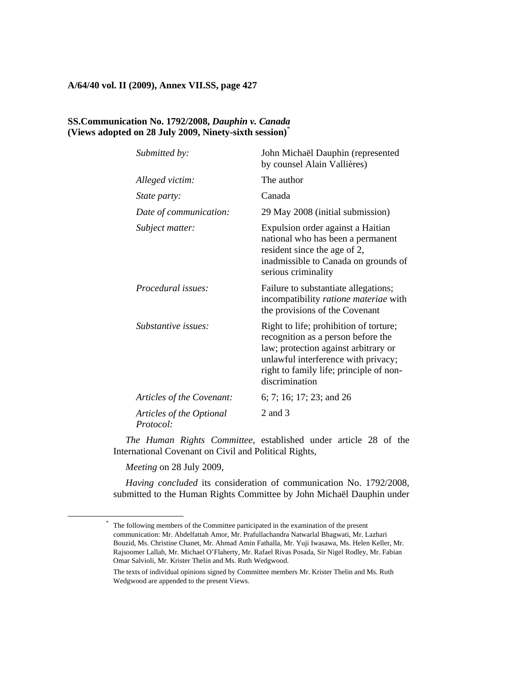# **A/64/40 vol. II (2009), Annex VII.SS, page 427**

# **SS.Communication No. 1792/2008,** *Dauphin v. Canada*  **(Views adopted on 28 July 2009, Ninety-sixth session)**\*

| Submitted by:                         | John Michaël Dauphin (represented<br>by counsel Alain Vallières)                                                                                                                                                         |
|---------------------------------------|--------------------------------------------------------------------------------------------------------------------------------------------------------------------------------------------------------------------------|
| Alleged victim:                       | The author                                                                                                                                                                                                               |
| State party:                          | Canada                                                                                                                                                                                                                   |
| Date of communication:                | 29 May 2008 (initial submission)                                                                                                                                                                                         |
| Subject matter:                       | Expulsion order against a Haitian<br>national who has been a permanent<br>resident since the age of 2,<br>inadmissible to Canada on grounds of<br>serious criminality                                                    |
| Procedural issues:                    | Failure to substantiate allegations;<br>incompatibility ratione materiae with<br>the provisions of the Covenant                                                                                                          |
| Substantive issues:                   | Right to life; prohibition of torture;<br>recognition as a person before the<br>law; protection against arbitrary or<br>unlawful interference with privacy;<br>right to family life; principle of non-<br>discrimination |
| Articles of the Covenant:             | 6; 7; 16; 17; 23; and 26                                                                                                                                                                                                 |
| Articles of the Optional<br>Protocol: | 2 and 3                                                                                                                                                                                                                  |

 *The Human Rights Committee*, established under article 28 of the International Covenant on Civil and Political Rights,

 *Meeting* on 28 July 2009,

 *Having concluded* its consideration of communication No. 1792/2008, submitted to the Human Rights Committee by John Michaël Dauphin under

The following members of the Committee participated in the examination of the present communication: Mr. Abdelfattah Amor, Mr. Prafullachandra Natwarlal Bhagwati, Mr. Lazhari Bouzid, Ms. Christine Chanet, Mr. Ahmad Amin Fathalla, Mr. Yuji Iwasawa, Ms. Helen Keller, Mr. Rajsoomer Lallah, Mr. Michael O'Flaherty, Mr. Rafael Rivas Posada, Sir Nigel Rodley, Mr. Fabian Omar Salvioli, Mr. Krister Thelin and Ms. Ruth Wedgwood.

The texts of individual opinions signed by Committee members Mr. Krister Thelin and Ms. Ruth Wedgwood are appended to the present Views.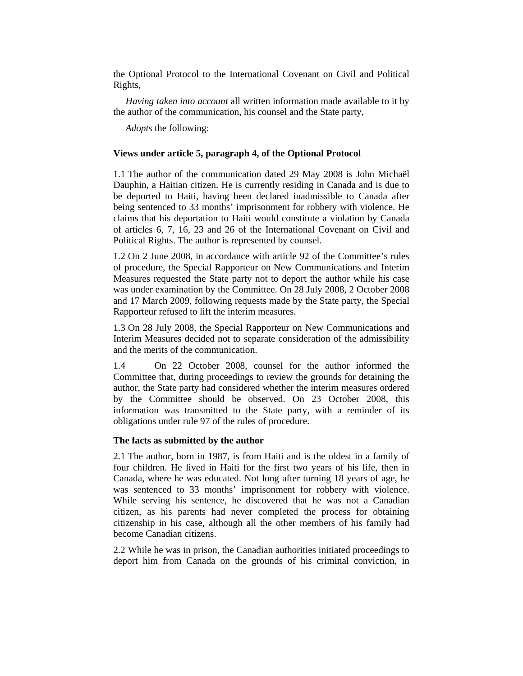the Optional Protocol to the International Covenant on Civil and Political Rights,

 *Having taken into account* all written information made available to it by the author of the communication, his counsel and the State party,

 *Adopts* the following:

# **Views under article 5, paragraph 4, of the Optional Protocol**

1.1 The author of the communication dated 29 May 2008 is John Michaël Dauphin, a Haitian citizen. He is currently residing in Canada and is due to be deported to Haiti, having been declared inadmissible to Canada after being sentenced to 33 months' imprisonment for robbery with violence. He claims that his deportation to Haiti would constitute a violation by Canada of articles 6, 7, 16, 23 and 26 of the International Covenant on Civil and Political Rights. The author is represented by counsel.

1.2 On 2 June 2008, in accordance with article 92 of the Committee's rules of procedure, the Special Rapporteur on New Communications and Interim Measures requested the State party not to deport the author while his case was under examination by the Committee. On 28 July 2008, 2 October 2008 and 17 March 2009, following requests made by the State party, the Special Rapporteur refused to lift the interim measures.

1.3 On 28 July 2008, the Special Rapporteur on New Communications and Interim Measures decided not to separate consideration of the admissibility and the merits of the communication.

1.4 On 22 October 2008, counsel for the author informed the Committee that, during proceedings to review the grounds for detaining the author, the State party had considered whether the interim measures ordered by the Committee should be observed. On 23 October 2008, this information was transmitted to the State party, with a reminder of its obligations under rule 97 of the rules of procedure.

#### **The facts as submitted by the author**

2.1 The author, born in 1987, is from Haiti and is the oldest in a family of four children. He lived in Haiti for the first two years of his life, then in Canada, where he was educated. Not long after turning 18 years of age, he was sentenced to 33 months' imprisonment for robbery with violence. While serving his sentence, he discovered that he was not a Canadian citizen, as his parents had never completed the process for obtaining citizenship in his case, although all the other members of his family had become Canadian citizens.

2.2 While he was in prison, the Canadian authorities initiated proceedings to deport him from Canada on the grounds of his criminal conviction, in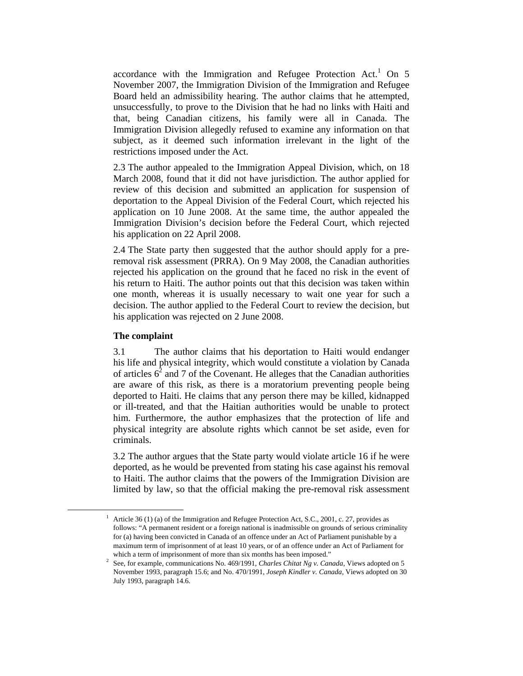accordance with the Immigration and Refugee Protection Act.<sup>1</sup> On 5 November 2007, the Immigration Division of the Immigration and Refugee Board held an admissibility hearing. The author claims that he attempted, unsuccessfully, to prove to the Division that he had no links with Haiti and that, being Canadian citizens, his family were all in Canada. The Immigration Division allegedly refused to examine any information on that subject, as it deemed such information irrelevant in the light of the restrictions imposed under the Act.

2.3 The author appealed to the Immigration Appeal Division, which, on 18 March 2008, found that it did not have jurisdiction. The author applied for review of this decision and submitted an application for suspension of deportation to the Appeal Division of the Federal Court, which rejected his application on 10 June 2008. At the same time, the author appealed the Immigration Division's decision before the Federal Court, which rejected his application on 22 April 2008.

2.4 The State party then suggested that the author should apply for a preremoval risk assessment (PRRA). On 9 May 2008, the Canadian authorities rejected his application on the ground that he faced no risk in the event of his return to Haiti. The author points out that this decision was taken within one month, whereas it is usually necessary to wait one year for such a decision. The author applied to the Federal Court to review the decision, but his application was rejected on 2 June 2008.

# **The complaint**

3.1 The author claims that his deportation to Haiti would endanger his life and physical integrity, which would constitute a violation by Canada of articles  $6<sup>2</sup>$  and 7 of the Covenant. He alleges that the Canadian authorities are aware of this risk, as there is a moratorium preventing people being deported to Haiti. He claims that any person there may be killed, kidnapped or ill-treated, and that the Haitian authorities would be unable to protect him. Furthermore, the author emphasizes that the protection of life and physical integrity are absolute rights which cannot be set aside, even for criminals.

3.2 The author argues that the State party would violate article 16 if he were deported, as he would be prevented from stating his case against his removal to Haiti. The author claims that the powers of the Immigration Division are limited by law, so that the official making the pre-removal risk assessment

<sup>&</sup>lt;u>1</u>  $1$  Article 36 (1) (a) of the Immigration and Refugee Protection Act, S.C., 2001, c. 27, provides as follows: "A permanent resident or a foreign national is inadmissible on grounds of serious criminality for (a) having been convicted in Canada of an offence under an Act of Parliament punishable by a maximum term of imprisonment of at least 10 years, or of an offence under an Act of Parliament for which a term of imprisonment of more than six months has been imposed."

<sup>&</sup>lt;sup>2</sup> See, for example, communications No. 469/1991, *Charles Chitat Ng v. Canada*, Views adopted on 5 November 1993, paragraph 15.6; and No. 470/1991, *Joseph Kindler v. Canada*, Views adopted on 30 July 1993, paragraph 14.6.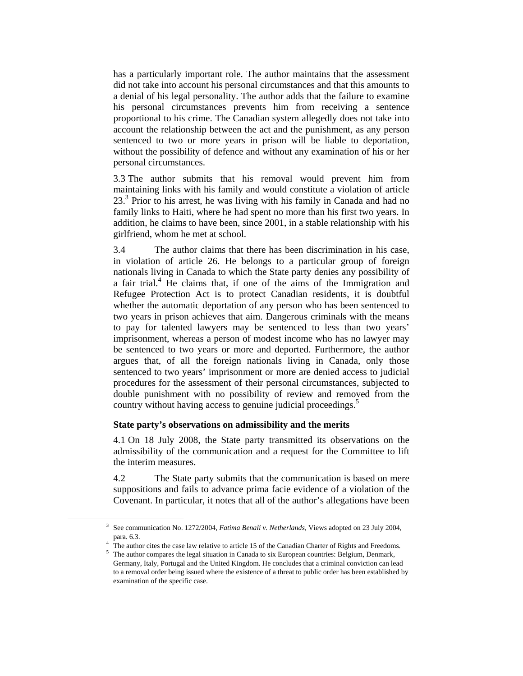has a particularly important role. The author maintains that the assessment did not take into account his personal circumstances and that this amounts to a denial of his legal personality. The author adds that the failure to examine his personal circumstances prevents him from receiving a sentence proportional to his crime. The Canadian system allegedly does not take into account the relationship between the act and the punishment, as any person sentenced to two or more years in prison will be liable to deportation, without the possibility of defence and without any examination of his or her personal circumstances.

3.3 The author submits that his removal would prevent him from maintaining links with his family and would constitute a violation of article  $23<sup>3</sup>$  Prior to his arrest, he was living with his family in Canada and had no family links to Haiti, where he had spent no more than his first two years. In addition, he claims to have been, since 2001, in a stable relationship with his girlfriend, whom he met at school.

3.4 The author claims that there has been discrimination in his case, in violation of article 26. He belongs to a particular group of foreign nationals living in Canada to which the State party denies any possibility of a fair trial.<sup>4</sup> He claims that, if one of the aims of the Immigration and Refugee Protection Act is to protect Canadian residents, it is doubtful whether the automatic deportation of any person who has been sentenced to two years in prison achieves that aim. Dangerous criminals with the means to pay for talented lawyers may be sentenced to less than two years' imprisonment, whereas a person of modest income who has no lawyer may be sentenced to two years or more and deported. Furthermore, the author argues that, of all the foreign nationals living in Canada, only those sentenced to two years' imprisonment or more are denied access to judicial procedures for the assessment of their personal circumstances, subjected to double punishment with no possibility of review and removed from the country without having access to genuine judicial proceedings.<sup>5</sup>

# **State party's observations on admissibility and the merits**

4.1 On 18 July 2008, the State party transmitted its observations on the admissibility of the communication and a request for the Committee to lift the interim measures.

4.2 The State party submits that the communication is based on mere suppositions and fails to advance prima facie evidence of a violation of the Covenant. In particular, it notes that all of the author's allegations have been

 <sup>3</sup> <sup>3</sup> See communication No. 1272/2004, *Fatima Benali v. Netherlands*, Views adopted on 23 July 2004, para. 6.3. 4

The author cites the case law relative to article 15 of the Canadian Charter of Rights and Freedoms*.*

<sup>&</sup>lt;sup>5</sup> The author compares the legal situation in Canada to six European countries: Belgium, Denmark, Germany, Italy, Portugal and the United Kingdom. He concludes that a criminal conviction can lead to a removal order being issued where the existence of a threat to public order has been established by examination of the specific case.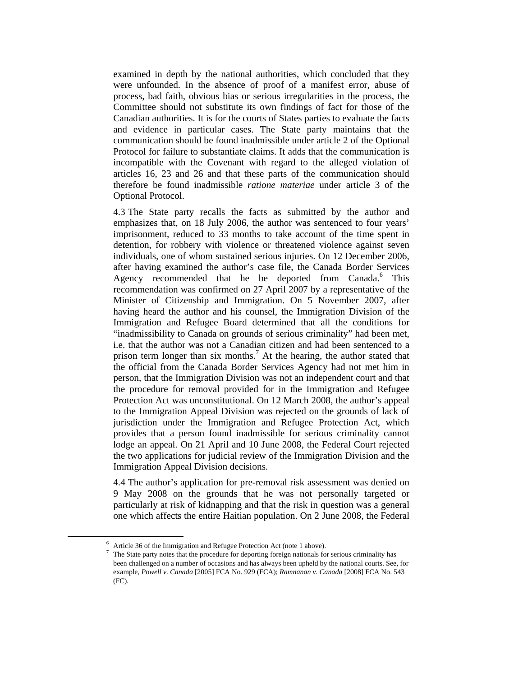examined in depth by the national authorities, which concluded that they were unfounded. In the absence of proof of a manifest error, abuse of process, bad faith, obvious bias or serious irregularities in the process, the Committee should not substitute its own findings of fact for those of the Canadian authorities. It is for the courts of States parties to evaluate the facts and evidence in particular cases. The State party maintains that the communication should be found inadmissible under article 2 of the Optional Protocol for failure to substantiate claims. It adds that the communication is incompatible with the Covenant with regard to the alleged violation of articles 16, 23 and 26 and that these parts of the communication should therefore be found inadmissible *ratione materiae* under article 3 of the Optional Protocol.

4.3 The State party recalls the facts as submitted by the author and emphasizes that, on 18 July 2006, the author was sentenced to four years' imprisonment, reduced to 33 months to take account of the time spent in detention, for robbery with violence or threatened violence against seven individuals, one of whom sustained serious injuries. On 12 December 2006, after having examined the author's case file, the Canada Border Services Agency recommended that he be deported from Canada.<sup>6</sup> This recommendation was confirmed on 27 April 2007 by a representative of the Minister of Citizenship and Immigration. On 5 November 2007, after having heard the author and his counsel, the Immigration Division of the Immigration and Refugee Board determined that all the conditions for "inadmissibility to Canada on grounds of serious criminality" had been met, i.e. that the author was not a Canadian citizen and had been sentenced to a prison term longer than six months.<sup>7</sup> At the hearing, the author stated that the official from the Canada Border Services Agency had not met him in person, that the Immigration Division was not an independent court and that the procedure for removal provided for in the Immigration and Refugee Protection Act was unconstitutional. On 12 March 2008, the author's appeal to the Immigration Appeal Division was rejected on the grounds of lack of jurisdiction under the Immigration and Refugee Protection Act, which provides that a person found inadmissible for serious criminality cannot lodge an appeal. On 21 April and 10 June 2008, the Federal Court rejected the two applications for judicial review of the Immigration Division and the Immigration Appeal Division decisions.

4.4 The author's application for pre-removal risk assessment was denied on 9 May 2008 on the grounds that he was not personally targeted or particularly at risk of kidnapping and that the risk in question was a general one which affects the entire Haitian population. On 2 June 2008, the Federal

 $\overline{6}$ Article 36 of the Immigration and Refugee Protection Act (note 1 above).

 $7$  The State party notes that the procedure for deporting foreign nationals for serious criminality has been challenged on a number of occasions and has always been upheld by the national courts. See, for example, *Powell v. Canada* [2005] FCA No. 929 (FCA); *Ramnanan v. Canada* [2008] FCA No. 543 (FC).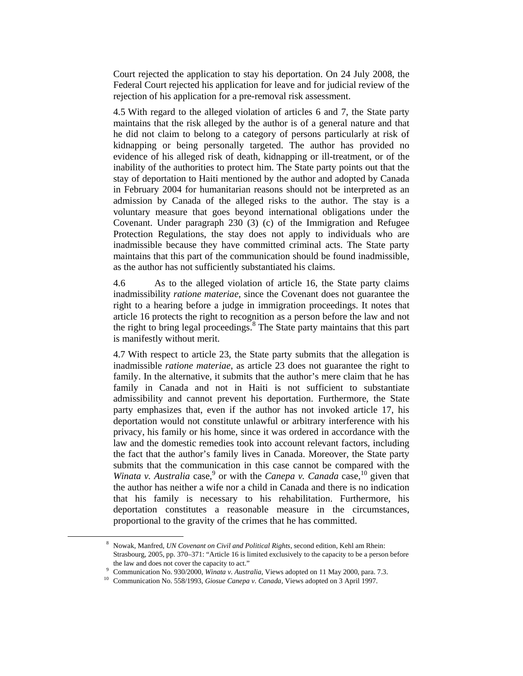Court rejected the application to stay his deportation. On 24 July 2008, the Federal Court rejected his application for leave and for judicial review of the rejection of his application for a pre-removal risk assessment.

4.5 With regard to the alleged violation of articles 6 and 7, the State party maintains that the risk alleged by the author is of a general nature and that he did not claim to belong to a category of persons particularly at risk of kidnapping or being personally targeted. The author has provided no evidence of his alleged risk of death, kidnapping or ill-treatment, or of the inability of the authorities to protect him. The State party points out that the stay of deportation to Haiti mentioned by the author and adopted by Canada in February 2004 for humanitarian reasons should not be interpreted as an admission by Canada of the alleged risks to the author. The stay is a voluntary measure that goes beyond international obligations under the Covenant. Under paragraph 230 (3) (c) of the Immigration and Refugee Protection Regulations, the stay does not apply to individuals who are inadmissible because they have committed criminal acts. The State party maintains that this part of the communication should be found inadmissible, as the author has not sufficiently substantiated his claims.

4.6 As to the alleged violation of article 16, the State party claims inadmissibility *ratione materiae*, since the Covenant does not guarantee the right to a hearing before a judge in immigration proceedings. It notes that article 16 protects the right to recognition as a person before the law and not the right to bring legal proceedings.<sup>8</sup> The State party maintains that this part is manifestly without merit.

4.7 With respect to article 23, the State party submits that the allegation is inadmissible *ratione materiae*, as article 23 does not guarantee the right to family. In the alternative, it submits that the author's mere claim that he has family in Canada and not in Haiti is not sufficient to substantiate admissibility and cannot prevent his deportation. Furthermore, the State party emphasizes that, even if the author has not invoked article 17, his deportation would not constitute unlawful or arbitrary interference with his privacy, his family or his home, since it was ordered in accordance with the law and the domestic remedies took into account relevant factors, including the fact that the author's family lives in Canada. Moreover, the State party submits that the communication in this case cannot be compared with the *Winata v. Australia* case,<sup>9</sup> or with the *Canepa v. Canada* case,<sup>10</sup> given that the author has neither a wife nor a child in Canada and there is no indication that his family is necessary to his rehabilitation. Furthermore, his deportation constitutes a reasonable measure in the circumstances, proportional to the gravity of the crimes that he has committed.

 <sup>8</sup> Nowak, Manfred, *UN Covenant on Civil and Political Rights*, second edition, Kehl am Rhein: Strasbourg, 2005, pp. 370–371: "Article 16 is limited exclusively to the capacity to be a person before the law and does not cover the capacity to act."<br>Communication No. 930/2000, *Winata v. Australia*, Views adopted on 11 May 2000, para. 7.3.

<sup>&</sup>lt;sup>10</sup> Communication No. 558/1993, *Giosue Canepa v. Canada*, Views adopted on 3 April 1997.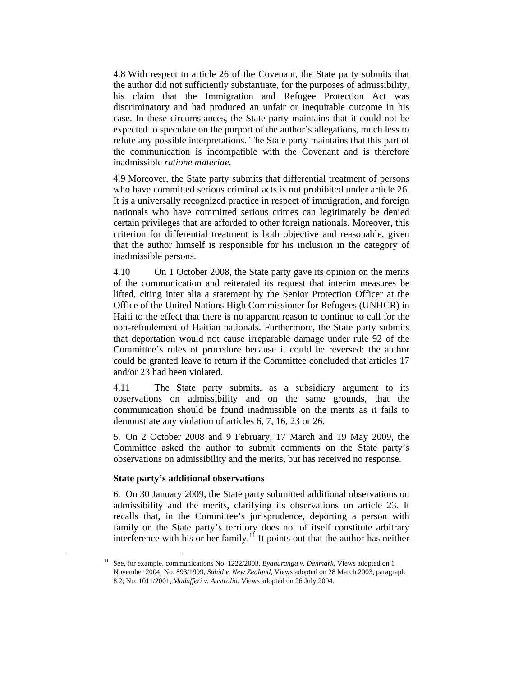4.8 With respect to article 26 of the Covenant, the State party submits that the author did not sufficiently substantiate, for the purposes of admissibility, his claim that the Immigration and Refugee Protection Act was discriminatory and had produced an unfair or inequitable outcome in his case. In these circumstances, the State party maintains that it could not be expected to speculate on the purport of the author's allegations, much less to refute any possible interpretations. The State party maintains that this part of the communication is incompatible with the Covenant and is therefore inadmissible *ratione materiae*.

4.9 Moreover, the State party submits that differential treatment of persons who have committed serious criminal acts is not prohibited under article 26. It is a universally recognized practice in respect of immigration, and foreign nationals who have committed serious crimes can legitimately be denied certain privileges that are afforded to other foreign nationals. Moreover, this criterion for differential treatment is both objective and reasonable, given that the author himself is responsible for his inclusion in the category of inadmissible persons.

4.10 On 1 October 2008, the State party gave its opinion on the merits of the communication and reiterated its request that interim measures be lifted, citing inter alia a statement by the Senior Protection Officer at the Office of the United Nations High Commissioner for Refugees (UNHCR) in Haiti to the effect that there is no apparent reason to continue to call for the non-refoulement of Haitian nationals. Furthermore, the State party submits that deportation would not cause irreparable damage under rule 92 of the Committee's rules of procedure because it could be reversed: the author could be granted leave to return if the Committee concluded that articles 17 and/or 23 had been violated.

4.11 The State party submits, as a subsidiary argument to its observations on admissibility and on the same grounds, that the communication should be found inadmissible on the merits as it fails to demonstrate any violation of articles 6, 7, 16, 23 or 26.

5. On 2 October 2008 and 9 February, 17 March and 19 May 2009, the Committee asked the author to submit comments on the State party's observations on admissibility and the merits, but has received no response.

# **State party's additional observations**

6. On 30 January 2009, the State party submitted additional observations on admissibility and the merits, clarifying its observations on article 23. It recalls that, in the Committee's jurisprudence, deporting a person with family on the State party's territory does not of itself constitute arbitrary interference with his or her family.<sup>11</sup> It points out that the author has neither

 <sup>11</sup> See, for example, communications No. 1222/2003, *Byahuranga v. Denmark*, Views adopted on 1 November 2004; No. 893/1999, *Sahid v. New Zealand*, Views adopted on 28 March 2003, paragraph 8.2; No. 1011/2001, *Madafferi v. Australia*, Views adopted on 26 July 2004.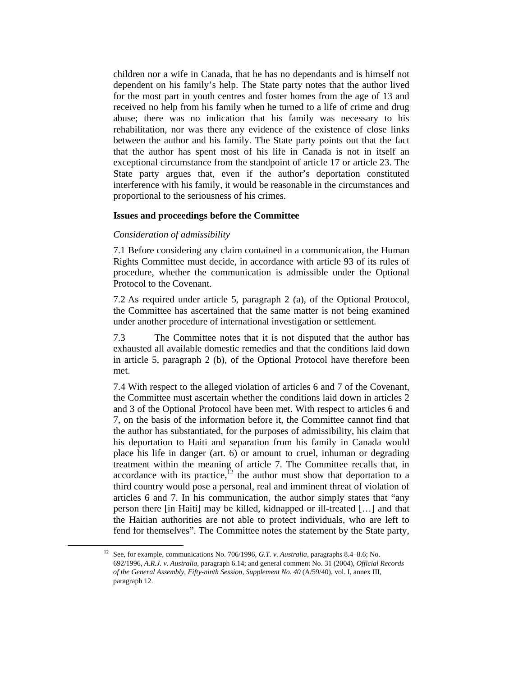children nor a wife in Canada, that he has no dependants and is himself not dependent on his family's help. The State party notes that the author lived for the most part in youth centres and foster homes from the age of 13 and received no help from his family when he turned to a life of crime and drug abuse; there was no indication that his family was necessary to his rehabilitation, nor was there any evidence of the existence of close links between the author and his family. The State party points out that the fact that the author has spent most of his life in Canada is not in itself an exceptional circumstance from the standpoint of article 17 or article 23. The State party argues that, even if the author's deportation constituted interference with his family, it would be reasonable in the circumstances and proportional to the seriousness of his crimes.

#### **Issues and proceedings before the Committee**

#### *Consideration of admissibility*

7.1 Before considering any claim contained in a communication, the Human Rights Committee must decide, in accordance with article 93 of its rules of procedure, whether the communication is admissible under the Optional Protocol to the Covenant.

7.2 As required under article 5, paragraph 2 (a), of the Optional Protocol, the Committee has ascertained that the same matter is not being examined under another procedure of international investigation or settlement.

7.3 The Committee notes that it is not disputed that the author has exhausted all available domestic remedies and that the conditions laid down in article 5, paragraph 2 (b), of the Optional Protocol have therefore been met.

7.4 With respect to the alleged violation of articles 6 and 7 of the Covenant, the Committee must ascertain whether the conditions laid down in articles 2 and 3 of the Optional Protocol have been met. With respect to articles 6 and 7, on the basis of the information before it, the Committee cannot find that the author has substantiated, for the purposes of admissibility, his claim that his deportation to Haiti and separation from his family in Canada would place his life in danger (art. 6) or amount to cruel, inhuman or degrading treatment within the meaning of article 7. The Committee recalls that, in accordance with its practice,<sup>12</sup> the author must show that deportation to a third country would pose a personal, real and imminent threat of violation of articles 6 and 7. In his communication, the author simply states that "any person there [in Haiti] may be killed, kidnapped or ill-treated […] and that the Haitian authorities are not able to protect individuals, who are left to fend for themselves". The Committee notes the statement by the State party,

<sup>&</sup>lt;sup>12</sup> See, for example, communications No. 706/1996, *G.T. v. Australia*, paragraphs 8.4–8.6; No. 692/1996, *A.R.J. v. Australia*, paragraph 6.14; and general comment No. 31 (2004), *Official Records of the General Assembly, Fifty-ninth Session, Supplement No. 40* (A/59/40), vol. I, annex III, paragraph 12.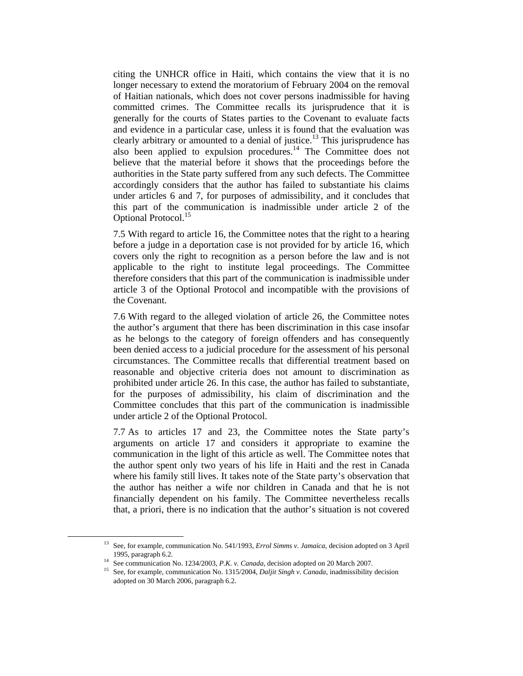citing the UNHCR office in Haiti, which contains the view that it is no longer necessary to extend the moratorium of February 2004 on the removal of Haitian nationals, which does not cover persons inadmissible for having committed crimes. The Committee recalls its jurisprudence that it is generally for the courts of States parties to the Covenant to evaluate facts and evidence in a particular case, unless it is found that the evaluation was clearly arbitrary or amounted to a denial of justice.<sup>13</sup> This jurisprudence has also been applied to expulsion procedures.<sup>14</sup> The Committee does not believe that the material before it shows that the proceedings before the authorities in the State party suffered from any such defects. The Committee accordingly considers that the author has failed to substantiate his claims under articles 6 and 7, for purposes of admissibility, and it concludes that this part of the communication is inadmissible under article 2 of the Optional Protocol.<sup>15</sup>

7.5 With regard to article 16, the Committee notes that the right to a hearing before a judge in a deportation case is not provided for by article 16, which covers only the right to recognition as a person before the law and is not applicable to the right to institute legal proceedings. The Committee therefore considers that this part of the communication is inadmissible under article 3 of the Optional Protocol and incompatible with the provisions of the Covenant.

7.6 With regard to the alleged violation of article 26, the Committee notes the author's argument that there has been discrimination in this case insofar as he belongs to the category of foreign offenders and has consequently been denied access to a judicial procedure for the assessment of his personal circumstances. The Committee recalls that differential treatment based on reasonable and objective criteria does not amount to discrimination as prohibited under article 26. In this case, the author has failed to substantiate, for the purposes of admissibility, his claim of discrimination and the Committee concludes that this part of the communication is inadmissible under article 2 of the Optional Protocol.

7.7 As to articles 17 and 23, the Committee notes the State party's arguments on article 17 and considers it appropriate to examine the communication in the light of this article as well. The Committee notes that the author spent only two years of his life in Haiti and the rest in Canada where his family still lives. It takes note of the State party's observation that the author has neither a wife nor children in Canada and that he is not financially dependent on his family. The Committee nevertheless recalls that, a priori, there is no indication that the author's situation is not covered

 <sup>13</sup> See, for example, communication No. 541/1993, *Errol Simms v. Jamaica*, decision adopted on 3 April

<sup>1995,</sup> paragraph 6.2. 14 See communication No. 1234/2003, *P.K. v. Canada*, decision adopted on 20 March 2007. 15 See, for example, communication No. 1315/2004, *Daljit Singh v. Canada*, inadmissibility decision adopted on 30 March 2006, paragraph 6.2.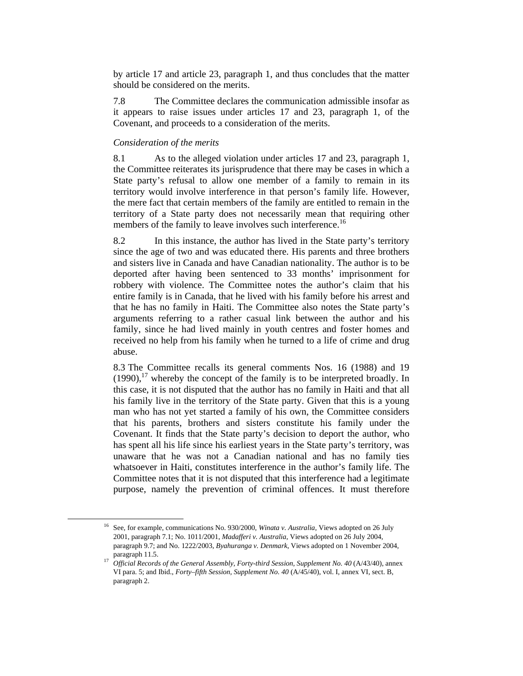by article 17 and article 23, paragraph 1, and thus concludes that the matter should be considered on the merits.

7.8 The Committee declares the communication admissible insofar as it appears to raise issues under articles 17 and 23, paragraph 1, of the Covenant, and proceeds to a consideration of the merits.

#### *Consideration of the merits*

8.1 As to the alleged violation under articles 17 and 23, paragraph 1, the Committee reiterates its jurisprudence that there may be cases in which a State party's refusal to allow one member of a family to remain in its territory would involve interference in that person's family life. However, the mere fact that certain members of the family are entitled to remain in the territory of a State party does not necessarily mean that requiring other members of the family to leave involves such interference.<sup>16</sup>

8.2 In this instance, the author has lived in the State party's territory since the age of two and was educated there. His parents and three brothers and sisters live in Canada and have Canadian nationality. The author is to be deported after having been sentenced to 33 months' imprisonment for robbery with violence. The Committee notes the author's claim that his entire family is in Canada, that he lived with his family before his arrest and that he has no family in Haiti. The Committee also notes the State party's arguments referring to a rather casual link between the author and his family, since he had lived mainly in youth centres and foster homes and received no help from his family when he turned to a life of crime and drug abuse.

8.3 The Committee recalls its general comments Nos. 16 (1988) and 19  $(1990)$ ,<sup>17</sup> whereby the concept of the family is to be interpreted broadly. In this case, it is not disputed that the author has no family in Haiti and that all his family live in the territory of the State party. Given that this is a young man who has not yet started a family of his own, the Committee considers that his parents, brothers and sisters constitute his family under the Covenant. It finds that the State party's decision to deport the author, who has spent all his life since his earliest years in the State party's territory, was unaware that he was not a Canadian national and has no family ties whatsoever in Haiti, constitutes interference in the author's family life. The Committee notes that it is not disputed that this interference had a legitimate purpose, namely the prevention of criminal offences. It must therefore

 <sup>16</sup> See, for example, communications No. 930/2000, *Winata v. Australia*, Views adopted on 26 July 2001, paragraph 7.1; No. 1011/2001, *Madafferi v. Australia*, Views adopted on 26 July 2004, paragraph 9.7; and No. 1222/2003, *Byahuranga v. Denmark*, Views adopted on 1 November 2004,

paragraph 11.5. 17 *Official Records of the General Assembly, Forty-third Session, Supplement No. 40* (A/43/40), annex VI para. 5; and Ibid., *Forty–fifth Session, Supplement No. 40* (A/45/40), vol. I, annex VI, sect. B, paragraph 2.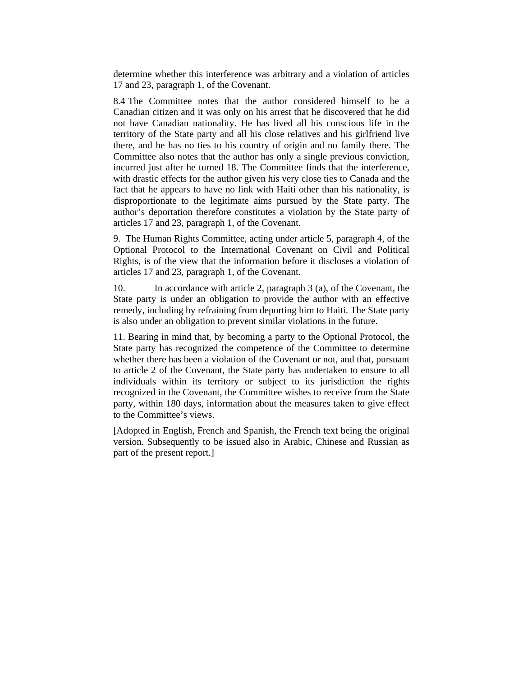determine whether this interference was arbitrary and a violation of articles 17 and 23, paragraph 1, of the Covenant.

8.4 The Committee notes that the author considered himself to be a Canadian citizen and it was only on his arrest that he discovered that he did not have Canadian nationality. He has lived all his conscious life in the territory of the State party and all his close relatives and his girlfriend live there, and he has no ties to his country of origin and no family there. The Committee also notes that the author has only a single previous conviction, incurred just after he turned 18. The Committee finds that the interference, with drastic effects for the author given his very close ties to Canada and the fact that he appears to have no link with Haiti other than his nationality, is disproportionate to the legitimate aims pursued by the State party. The author's deportation therefore constitutes a violation by the State party of articles 17 and 23, paragraph 1, of the Covenant.

9. The Human Rights Committee, acting under article 5, paragraph 4, of the Optional Protocol to the International Covenant on Civil and Political Rights, is of the view that the information before it discloses a violation of articles 17 and 23, paragraph 1, of the Covenant.

10. In accordance with article 2, paragraph 3 (a), of the Covenant, the State party is under an obligation to provide the author with an effective remedy, including by refraining from deporting him to Haiti. The State party is also under an obligation to prevent similar violations in the future.

11. Bearing in mind that, by becoming a party to the Optional Protocol, the State party has recognized the competence of the Committee to determine whether there has been a violation of the Covenant or not, and that, pursuant to article 2 of the Covenant, the State party has undertaken to ensure to all individuals within its territory or subject to its jurisdiction the rights recognized in the Covenant, the Committee wishes to receive from the State party, within 180 days, information about the measures taken to give effect to the Committee's views.

[Adopted in English, French and Spanish, the French text being the original version. Subsequently to be issued also in Arabic, Chinese and Russian as part of the present report.]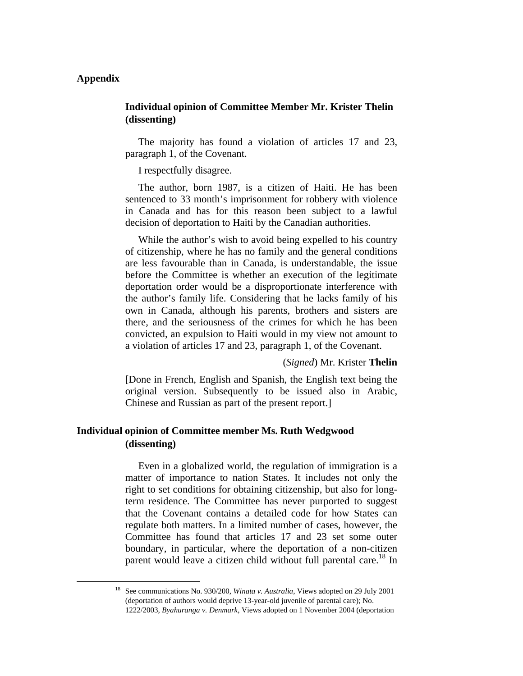# **Appendix**

# **Individual opinion of Committee Member Mr. Krister Thelin (dissenting)**

 The majority has found a violation of articles 17 and 23, paragraph 1, of the Covenant.

I respectfully disagree.

 The author, born 1987, is a citizen of Haiti. He has been sentenced to 33 month's imprisonment for robbery with violence in Canada and has for this reason been subject to a lawful decision of deportation to Haiti by the Canadian authorities.

 While the author's wish to avoid being expelled to his country of citizenship, where he has no family and the general conditions are less favourable than in Canada, is understandable, the issue before the Committee is whether an execution of the legitimate deportation order would be a disproportionate interference with the author's family life. Considering that he lacks family of his own in Canada, although his parents, brothers and sisters are there, and the seriousness of the crimes for which he has been convicted, an expulsion to Haiti would in my view not amount to a violation of articles 17 and 23, paragraph 1, of the Covenant.

# (*Signed*) Mr. Krister **Thelin**

[Done in French, English and Spanish, the English text being the original version. Subsequently to be issued also in Arabic, Chinese and Russian as part of the present report.]

# **Individual opinion of Committee member Ms. Ruth Wedgwood (dissenting)**

 Even in a globalized world, the regulation of immigration is a matter of importance to nation States. It includes not only the right to set conditions for obtaining citizenship, but also for longterm residence. The Committee has never purported to suggest that the Covenant contains a detailed code for how States can regulate both matters. In a limited number of cases, however, the Committee has found that articles 17 and 23 set some outer boundary, in particular, where the deportation of a non-citizen parent would leave a citizen child without full parental care.<sup>18</sup> In

 <sup>18</sup> See communications No. 930/200, *Winata v. Australia*, Views adopted on 29 July 2001 (deportation of authors would deprive 13-year-old juvenile of parental care); No. 1222/2003, *Byahuranga v. Denmark*, Views adopted on 1 November 2004 (deportation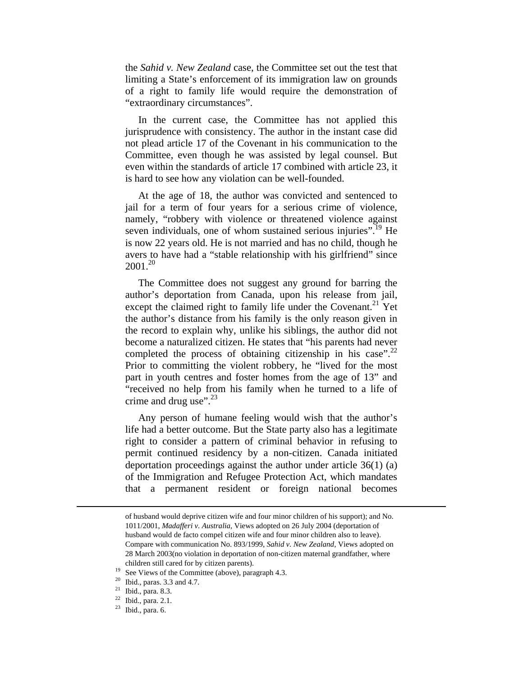the *Sahid v. New Zealand* case, the Committee set out the test that limiting a State's enforcement of its immigration law on grounds of a right to family life would require the demonstration of "extraordinary circumstances".

 In the current case, the Committee has not applied this jurisprudence with consistency. The author in the instant case did not plead article 17 of the Covenant in his communication to the Committee, even though he was assisted by legal counsel. But even within the standards of article 17 combined with article 23, it is hard to see how any violation can be well-founded.

 At the age of 18, the author was convicted and sentenced to jail for a term of four years for a serious crime of violence, namely, "robbery with violence or threatened violence against seven individuals, one of whom sustained serious injuries".<sup>19</sup> He is now 22 years old. He is not married and has no child, though he avers to have had a "stable relationship with his girlfriend" since  $2001^{20}$ 

 The Committee does not suggest any ground for barring the author's deportation from Canada, upon his release from jail, except the claimed right to family life under the Covenant.<sup>21</sup> Yet the author's distance from his family is the only reason given in the record to explain why, unlike his siblings, the author did not become a naturalized citizen. He states that "his parents had never completed the process of obtaining citizenship in his case".<sup>22</sup> Prior to committing the violent robbery, he "lived for the most part in youth centres and foster homes from the age of 13" and "received no help from his family when he turned to a life of crime and drug use". $^{23}$ 

 Any person of humane feeling would wish that the author's life had a better outcome. But the State party also has a legitimate right to consider a pattern of criminal behavior in refusing to permit continued residency by a non-citizen. Canada initiated deportation proceedings against the author under article 36(1) (a) of the Immigration and Refugee Protection Act, which mandates that a permanent resident or foreign national becomes

of husband would deprive citizen wife and four minor children of his support); and No. 1011/2001, *Madafferi v. Australia*, Views adopted on 26 July 2004 (deportation of husband would de facto compel citizen wife and four minor children also to leave). Compare with communication No. 893/1999, *Sahid v. New Zealand*, Views adopted on 28 March 2003(no violation in deportation of non-citizen maternal grandfather, where children still cared for by citizen parents).<br><sup>19</sup> See Views of the Committee (above), paragraph 4.3.<br><sup>20</sup> Ibid., paras. 3.3 and 4.7.

<sup>21</sup> Ibid., para. 8.3.

<sup>22</sup> Ibid., para. 2.1.

 $23$  Ibid., para. 6.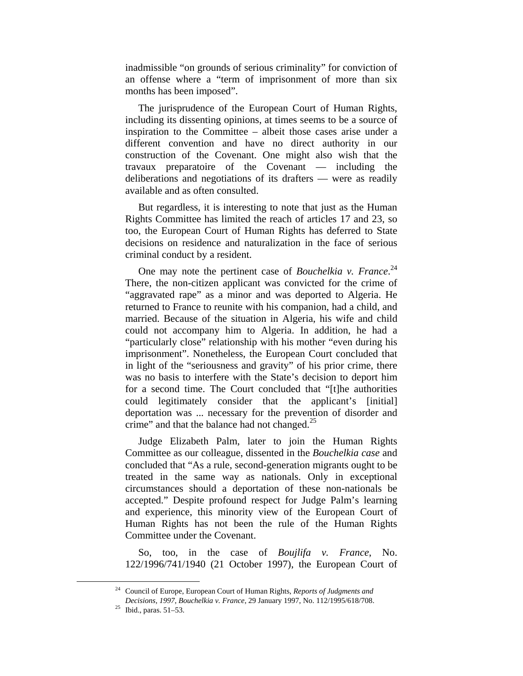inadmissible "on grounds of serious criminality" for conviction of an offense where a "term of imprisonment of more than six months has been imposed".

 The jurisprudence of the European Court of Human Rights, including its dissenting opinions, at times seems to be a source of inspiration to the Committee – albeit those cases arise under a different convention and have no direct authority in our construction of the Covenant. One might also wish that the travaux preparatoire of the Covenant — including the deliberations and negotiations of its drafters — were as readily available and as often consulted.

 But regardless, it is interesting to note that just as the Human Rights Committee has limited the reach of articles 17 and 23, so too, the European Court of Human Rights has deferred to State decisions on residence and naturalization in the face of serious criminal conduct by a resident.

 One may note the pertinent case of *Bouchelkia v. France*. 24 There, the non-citizen applicant was convicted for the crime of "aggravated rape" as a minor and was deported to Algeria. He returned to France to reunite with his companion, had a child, and married. Because of the situation in Algeria, his wife and child could not accompany him to Algeria. In addition, he had a "particularly close" relationship with his mother "even during his imprisonment". Nonetheless, the European Court concluded that in light of the "seriousness and gravity" of his prior crime, there was no basis to interfere with the State's decision to deport him for a second time. The Court concluded that "[t]he authorities could legitimately consider that the applicant's [initial] deportation was ... necessary for the prevention of disorder and crime" and that the balance had not changed. $^{25}$ 

 Judge Elizabeth Palm, later to join the Human Rights Committee as our colleague, dissented in the *Bouchelkia case* and concluded that "As a rule, second-generation migrants ought to be treated in the same way as nationals. Only in exceptional circumstances should a deportation of these non-nationals be accepted." Despite profound respect for Judge Palm's learning and experience, this minority view of the European Court of Human Rights has not been the rule of the Human Rights Committee under the Covenant.

 So, too, in the case of *Boujlifa v. France*, No. 122/1996/741/1940 (21 October 1997), the European Court of

 <sup>24</sup> Council of Europe, European Court of Human Rights, *Reports of Judgments and Decisions, 1997*, *Bouchelkia v. France*, 29 January 1997, No. 112/1995/618/708. 25 Ibid., paras. 51–53.